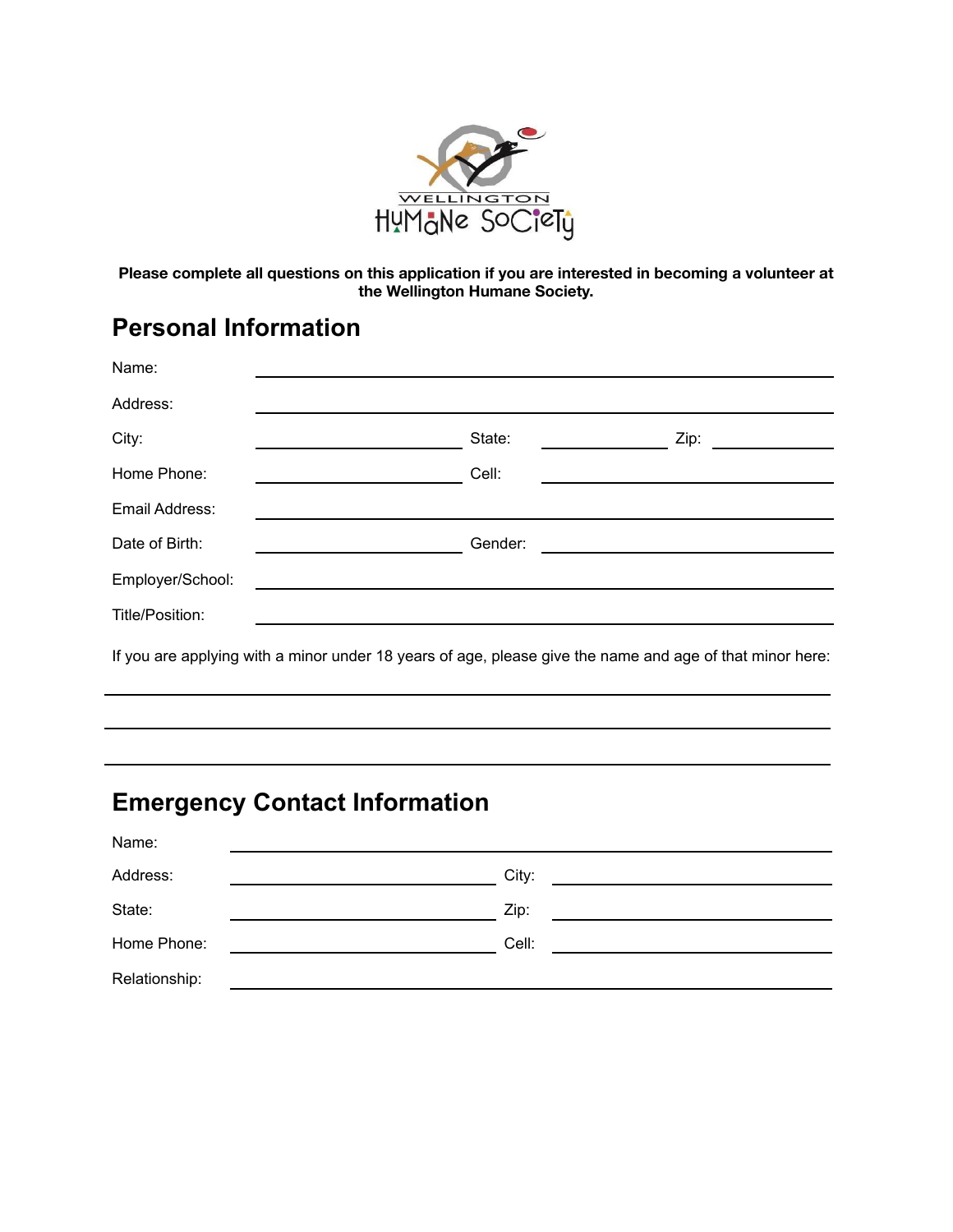

**Please complete all questions on this application if you are interested in becoming a volunteer at the Wellington Humane Society.**

# **Personal Information**

| Name:                                                                                                    |  |         |      |  |  |  |
|----------------------------------------------------------------------------------------------------------|--|---------|------|--|--|--|
| Address:                                                                                                 |  |         |      |  |  |  |
| City:                                                                                                    |  | State:  | Zip: |  |  |  |
| Home Phone:                                                                                              |  | Cell:   |      |  |  |  |
| Email Address:                                                                                           |  |         |      |  |  |  |
| Date of Birth:                                                                                           |  | Gender: |      |  |  |  |
| Employer/School:                                                                                         |  |         |      |  |  |  |
| Title/Position:                                                                                          |  |         |      |  |  |  |
| If you are applying with a minor under 18 years of age, please give the name and age of that minor here: |  |         |      |  |  |  |

# **Emergency Contact Information**

| Name:         |                                                                                                                               |
|---------------|-------------------------------------------------------------------------------------------------------------------------------|
| Address:      | City:<br><u> Alexandria de la contrada de la contrada de la contrada de la contrada de la contrada de la contrada de la c</u> |
| State:        | Zip:                                                                                                                          |
| Home Phone:   | Cell:                                                                                                                         |
| Relationship: |                                                                                                                               |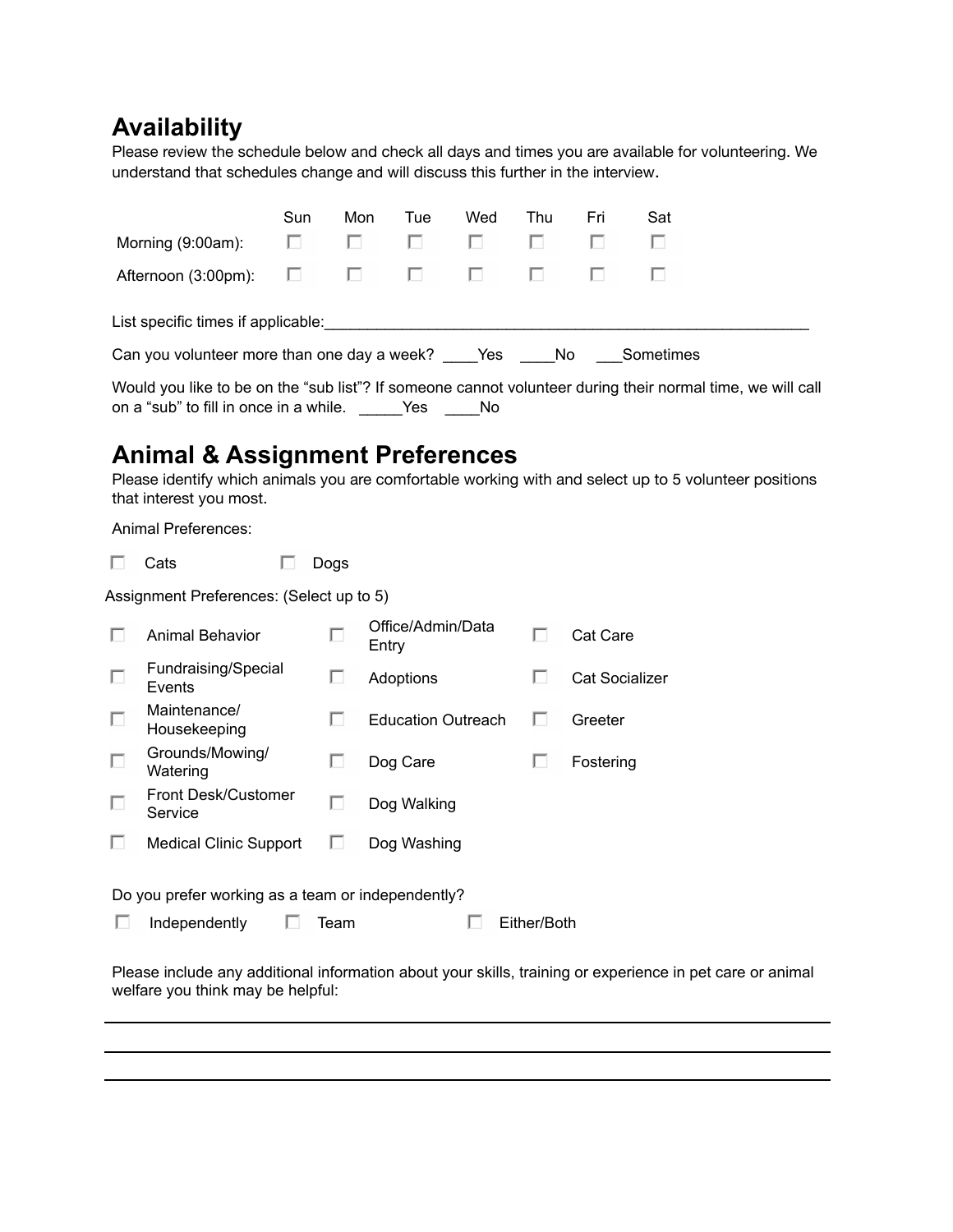## **Availability**

Please review the schedule below and check all days and times you are available for volunteering. We understand that schedules change and will discuss this further in the interview.

|                                                                                                                                                                 | Sun | Mon | Tue                             | Wed | Thu | Fri | Sat |  |
|-----------------------------------------------------------------------------------------------------------------------------------------------------------------|-----|-----|---------------------------------|-----|-----|-----|-----|--|
| Morning (9:00am):                                                                                                                                               | ш   | L.  | L                               | L.  |     |     |     |  |
| Afternoon (3:00pm): $\Box$                                                                                                                                      |     |     | the contract of the contract of |     |     |     |     |  |
| List specific times if applicable:                                                                                                                              |     |     |                                 |     |     |     |     |  |
| Can you volunteer more than one day a week? Yes No Sometimes                                                                                                    |     |     |                                 |     |     |     |     |  |
| Would you like to be on the "sub list"? If someone cannot volunteer during their normal time, we will call<br>on a "sub" to fill in once in a while. Yes<br>No. |     |     |                                 |     |     |     |     |  |

**Animal & Assignment Preferences**

Please identify which animals you are comfortable working with and select up to 5 volunteer positions that interest you most.

Animal Preferences:

| Cats | Dogs |
|------|------|
|      |      |

Assignment Preferences: (Select up to 5)

|                                                   | <b>Animal Behavior</b>         |      | Office/Admin/Data<br>Entry |             | Cat Care       |  |
|---------------------------------------------------|--------------------------------|------|----------------------------|-------------|----------------|--|
| Г                                                 | Fundraising/Special<br>Events  |      | Adoptions                  |             | Cat Socializer |  |
| Г                                                 | Maintenance/<br>Housekeeping   |      | <b>Education Outreach</b>  |             | Greeter        |  |
| Г                                                 | Grounds/Mowing/<br>Watering    |      | Dog Care                   |             | Fostering      |  |
|                                                   | Front Desk/Customer<br>Service |      | Dog Walking                |             |                |  |
|                                                   | <b>Medical Clinic Support</b>  |      | Dog Washing                |             |                |  |
| Do you prefer working as a team or independently? |                                |      |                            |             |                |  |
|                                                   | Independently                  | Team |                            | Either/Both |                |  |

Please include any additional information about your skills, training or experience in pet care or animal welfare you think may be helpful: